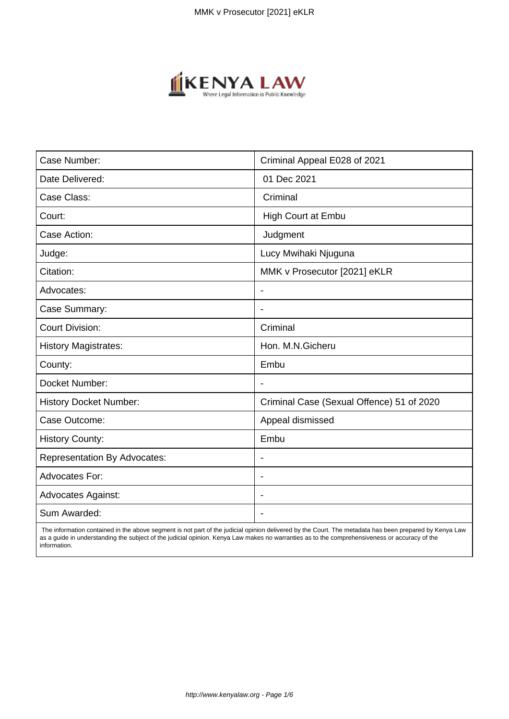

| Case Number:                        | Criminal Appeal E028 of 2021              |
|-------------------------------------|-------------------------------------------|
| Date Delivered:                     | 01 Dec 2021                               |
| Case Class:                         | Criminal                                  |
| Court:                              | High Court at Embu                        |
| Case Action:                        | Judgment                                  |
| Judge:                              | Lucy Mwihaki Njuguna                      |
| Citation:                           | MMK v Prosecutor [2021] eKLR              |
| Advocates:                          | $\blacksquare$                            |
| Case Summary:                       | $\overline{\phantom{a}}$                  |
| <b>Court Division:</b>              | Criminal                                  |
| <b>History Magistrates:</b>         | Hon. M.N.Gicheru                          |
| County:                             | Embu                                      |
| Docket Number:                      |                                           |
| History Docket Number:              | Criminal Case (Sexual Offence) 51 of 2020 |
| Case Outcome:                       | Appeal dismissed                          |
| <b>History County:</b>              | Embu                                      |
| <b>Representation By Advocates:</b> | $\blacksquare$                            |
| <b>Advocates For:</b>               | $\blacksquare$                            |
| <b>Advocates Against:</b>           |                                           |
| Sum Awarded:                        |                                           |

 The information contained in the above segment is not part of the judicial opinion delivered by the Court. The metadata has been prepared by Kenya Law as a guide in understanding the subject of the judicial opinion. Kenya Law makes no warranties as to the comprehensiveness or accuracy of the information.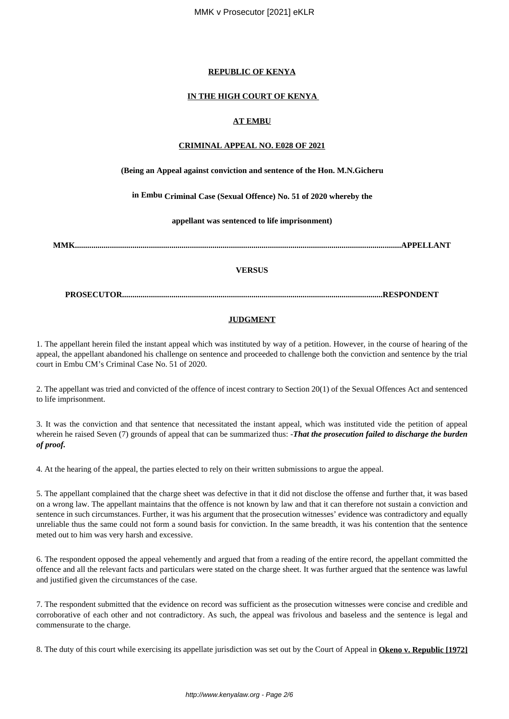### **REPUBLIC OF KENYA**

#### **IN THE HIGH COURT OF KENYA**

### **AT EMBU**

### **CRIMINAL APPEAL NO. E028 OF 2021**

#### **(Being an Appeal against conviction and sentence of the Hon. M.N.Gicheru**

**in Embu Criminal Case (Sexual Offence) No. 51 of 2020 whereby the**

**appellant was sentenced to life imprisonment)**

**MMK...............................................................................................................................................................APPELLANT**

#### **VERSUS**

**PROSECUTOR...............................................................................................................................RESPONDENT**

#### **JUDGMENT**

1. The appellant herein filed the instant appeal which was instituted by way of a petition. However, in the course of hearing of the appeal, the appellant abandoned his challenge on sentence and proceeded to challenge both the conviction and sentence by the trial court in Embu CM's Criminal Case No. 51 of 2020.

2. The appellant was tried and convicted of the offence of incest contrary to Section 20(1) of the Sexual Offences Act and sentenced to life imprisonment.

3. It was the conviction and that sentence that necessitated the instant appeal, which was instituted vide the petition of appeal wherein he raised Seven (7) grounds of appeal that can be summarized thus: -*That the prosecution failed to discharge the burden of proof.*

4. At the hearing of the appeal, the parties elected to rely on their written submissions to argue the appeal.

5. The appellant complained that the charge sheet was defective in that it did not disclose the offense and further that, it was based on a wrong law. The appellant maintains that the offence is not known by law and that it can therefore not sustain a conviction and sentence in such circumstances. Further, it was his argument that the prosecution witnesses' evidence was contradictory and equally unreliable thus the same could not form a sound basis for conviction. In the same breadth, it was his contention that the sentence meted out to him was very harsh and excessive.

6. The respondent opposed the appeal vehemently and argued that from a reading of the entire record, the appellant committed the offence and all the relevant facts and particulars were stated on the charge sheet. It was further argued that the sentence was lawful and justified given the circumstances of the case.

7. The respondent submitted that the evidence on record was sufficient as the prosecution witnesses were concise and credible and corroborative of each other and not contradictory. As such, the appeal was frivolous and baseless and the sentence is legal and commensurate to the charge.

8. The duty of this court while exercising its appellate jurisdiction was set out by the Court of Appeal in **Okeno v. Republic [1972]**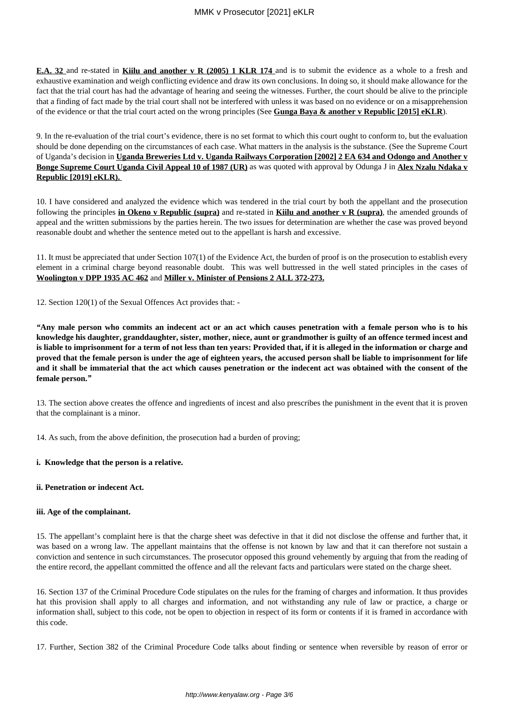**E.A. 32** and re-stated in **Kiilu and another v R (2005) 1 KLR 174** and is to submit the evidence as a whole to a fresh and exhaustive examination and weigh conflicting evidence and draw its own conclusions. In doing so, it should make allowance for the fact that the trial court has had the advantage of hearing and seeing the witnesses. Further, the court should be alive to the principle that a finding of fact made by the trial court shall not be interfered with unless it was based on no evidence or on a misapprehension of the evidence or that the trial court acted on the wrong principles (See **Gunga Baya & another v Republic [2015] eKLR**).

9. In the re-evaluation of the trial court's evidence, there is no set format to which this court ought to conform to, but the evaluation should be done depending on the circumstances of each case. What matters in the analysis is the substance. (See the Supreme Court of Uganda's decision in **Uganda Breweries Ltd v. Uganda Railways Corporation [2002] 2 EA 634 and Odongo and Another v Bonge Supreme Court Uganda Civil Appeal 10 of 1987 (UR)** as was quoted with approval by Odunga J in **Alex Nzalu Ndaka v Republic [2019] eKLR).** 

10. I have considered and analyzed the evidence which was tendered in the trial court by both the appellant and the prosecution following the principles **in Okeno v Republic (supra)** and re-stated in **Kiilu and another v R (supra)**, the amended grounds of appeal and the written submissions by the parties herein. The two issues for determination are whether the case was proved beyond reasonable doubt and whether the sentence meted out to the appellant is harsh and excessive.

11. It must be appreciated that under Section 107(1) of the Evidence Act, the burden of proof is on the prosecution to establish every element in a criminal charge beyond reasonable doubt. This was well buttressed in the well stated principles in the cases of **Woolington v DPP 1935 AC 462** and **Miller v. Minister of Pensions 2 ALL 372-273.**

12. Section 120(1) of the Sexual Offences Act provides that: -

*"***Any male person who commits an indecent act or an act which causes penetration with a female person who is to his knowledge his daughter, granddaughter, sister, mother, niece, aunt or grandmother is guilty of an offence termed incest and is liable to imprisonment for a term of not less than ten years: Provided that, if it is alleged in the information or charge and proved that the female person is under the age of eighteen years, the accused person shall be liable to imprisonment for life and it shall be immaterial that the act which causes penetration or the indecent act was obtained with the consent of the female person.***"*

13. The section above creates the offence and ingredients of incest and also prescribes the punishment in the event that it is proven that the complainant is a minor.

14. As such, from the above definition, the prosecution had a burden of proving;

### **i. Knowledge that the person is a relative.**

### **ii. Penetration or indecent Act.**

### **iii. Age of the complainant.**

15. The appellant's complaint here is that the charge sheet was defective in that it did not disclose the offense and further that, it was based on a wrong law. The appellant maintains that the offense is not known by law and that it can therefore not sustain a conviction and sentence in such circumstances. The prosecutor opposed this ground vehemently by arguing that from the reading of the entire record, the appellant committed the offence and all the relevant facts and particulars were stated on the charge sheet.

16. Section 137 of the Criminal Procedure Code stipulates on the rules for the framing of charges and information. It thus provides hat this provision shall apply to all charges and information, and not withstanding any rule of law or practice, a charge or information shall, subject to this code, not be open to objection in respect of its form or contents if it is framed in accordance with this code.

17. Further, Section 382 of the Criminal Procedure Code talks about finding or sentence when reversible by reason of error or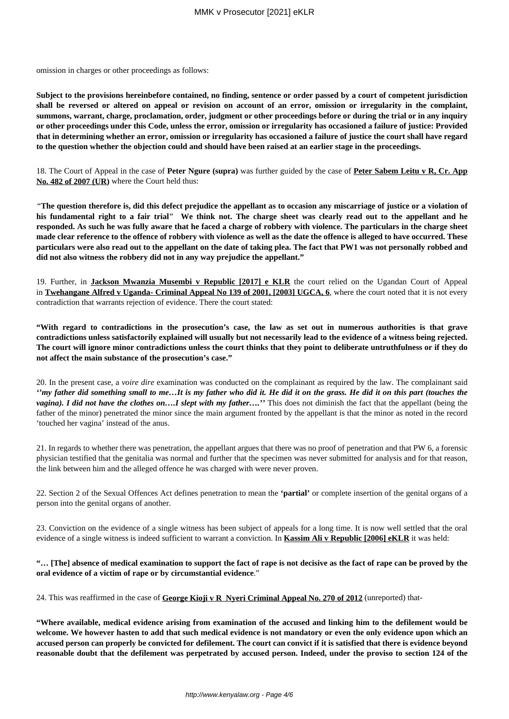omission in charges or other proceedings as follows:

**Subject to the provisions hereinbefore contained, no finding, sentence or order passed by a court of competent jurisdiction shall be reversed or altered on appeal or revision on account of an error, omission or irregularity in the complaint, summons, warrant, charge, proclamation, order, judgment or other proceedings before or during the trial or in any inquiry or other proceedings under this Code, unless the error, omission or irregularity has occasioned a failure of justice: Provided that in determining whether an error, omission or irregularity has occasioned a failure of justice the court shall have regard to the question whether the objection could and should have been raised at an earlier stage in the proceedings.**

18. The Court of Appeal in the case of **Peter Ngure (supra)** was further guided by the case of **Peter Sabem Leitu v R, Cr. App No. 482 of 2007 (UR)** where the Court held thus:

*"***The question therefore is, did this defect prejudice the appellant as to occasion any miscarriage of justice or a violation of his fundamental right to a fair trial" We think not. The charge sheet was clearly read out to the appellant and he responded. As such he was fully aware that he faced a charge of robbery with violence. The particulars in the charge sheet made clear reference to the offence of robbery with violence as well as the date the offence is alleged to have occurred. These particulars were also read out to the appellant on the date of taking plea. The fact that PW1 was not personally robbed and did not also witness the robbery did not in any way prejudice the appellant."**

19. Further, in **Jackson Mwanzia Musembi v Republic [2017] e KLR** the court relied on the Ugandan Court of Appeal in **Twehangane Alfred v Uganda- Criminal Appeal No 139 of 2001, [2003] UGCA, 6**, where the court noted that it is not every contradiction that warrants rejection of evidence. There the court stated:

**"With regard to contradictions in the prosecution's case, the law as set out in numerous authorities is that grave contradictions unless satisfactorily explained will usually but not necessarily lead to the evidence of a witness being rejected. The court will ignore minor contradictions unless the court thinks that they point to deliberate untruthfulness or if they do not affect the main substance of the prosecution's case."**

20. In the present case, a *voire dire* examination was conducted on the complainant as required by the law. The complainant said *''my father did something small to me…It is my father who did it. He did it on the grass. He did it on this part (touches the vagina*). I did not have the clothes on....I slept with my father...." This does not diminish the fact that the appellant (being the father of the minor) penetrated the minor since the main argument fronted by the appellant is that the minor as noted in the record 'touched her vagina' instead of the anus.

21. In regards to whether there was penetration, the appellant argues that there was no proof of penetration and that PW 6, a forensic physician testified that the genitalia was normal and further that the specimen was never submitted for analysis and for that reason, the link between him and the alleged offence he was charged with were never proven.

22. Section 2 of the Sexual Offences Act defines penetration to mean the **'partial'** or complete insertion of the genital organs of a person into the genital organs of another.

23. Conviction on the evidence of a single witness has been subject of appeals for a long time. It is now well settled that the oral evidence of a single witness is indeed sufficient to warrant a conviction. In **Kassim Ali v Republic [2006] eKLR** it was held:

# **"… [The] absence of medical examination to support the fact of rape is not decisive as the fact of rape can be proved by the oral evidence of a victim of rape or by circumstantial evidence**."

24. This was reaffirmed in the case of **George Kioji v R Nyeri Criminal Appeal No. 270 of 2012** (unreported) that-

**"Where available, medical evidence arising from examination of the accused and linking him to the defilement would be welcome. We however hasten to add that such medical evidence is not mandatory or even the only evidence upon which an accused person can properly be convicted for defilement. The court can convict if it is satisfied that there is evidence beyond reasonable doubt that the defilement was perpetrated by accused person. Indeed, under the proviso to section 124 of the**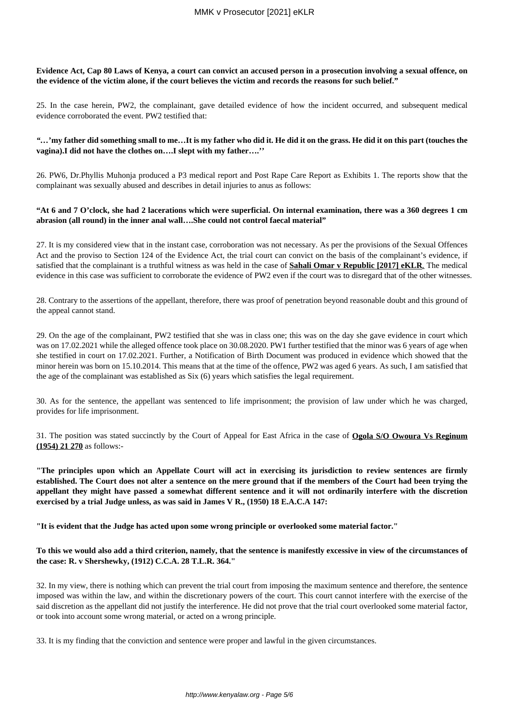### **Evidence Act, Cap 80 Laws of Kenya, a court can convict an accused person in a prosecution involving a sexual offence, on the evidence of the victim alone, if the court believes the victim and records the reasons for such belief."**

25. In the case herein, PW2, the complainant, gave detailed evidence of how the incident occurred, and subsequent medical evidence corroborated the event. PW2 testified that:

#### *"…***'my father did something small to me…It is my father who did it. He did it on the grass. He did it on this part (touches the vagina).I did not have the clothes on….I slept with my father….''**

26. PW6, Dr.Phyllis Muhonja produced a P3 medical report and Post Rape Care Report as Exhibits 1. The reports show that the complainant was sexually abused and describes in detail injuries to anus as follows:

### **"At 6 and 7 O'clock, she had 2 lacerations which were superficial. On internal examination, there was a 360 degrees 1 cm abrasion (all round) in the inner anal wall….She could not control faecal material"**

27. It is my considered view that in the instant case, corroboration was not necessary. As per the provisions of the Sexual Offences Act and the proviso to Section 124 of the Evidence Act, the trial court can convict on the basis of the complainant's evidence, if satisfied that the complainant is a truthful witness as was held in the case of **Sahali Omar v Republic [2017] eKLR***.* The medical evidence in this case was sufficient to corroborate the evidence of PW2 even if the court was to disregard that of the other witnesses.

28. Contrary to the assertions of the appellant, therefore, there was proof of penetration beyond reasonable doubt and this ground of the appeal cannot stand.

29. On the age of the complainant, PW2 testified that she was in class one; this was on the day she gave evidence in court which was on 17.02.2021 while the alleged offence took place on 30.08.2020. PW1 further testified that the minor was 6 years of age when she testified in court on 17.02.2021. Further, a Notification of Birth Document was produced in evidence which showed that the minor herein was born on 15.10.2014. This means that at the time of the offence, PW2 was aged 6 years. As such, I am satisfied that the age of the complainant was established as Six (6) years which satisfies the legal requirement.

30. As for the sentence, the appellant was sentenced to life imprisonment; the provision of law under which he was charged, provides for life imprisonment.

31. The position was stated succinctly by the Court of Appeal for East Africa in the case of **Ogola S/O Owoura Vs Reginum (1954) 21 270** as follows:-

**"The principles upon which an Appellate Court will act in exercising its jurisdiction to review sentences are firmly established. The Court does not alter a sentence on the mere ground that if the members of the Court had been trying the appellant they might have passed a somewhat different sentence and it will not ordinarily interfere with the discretion exercised by a trial Judge unless, as was said in James V R., (1950) 18 E.A.C.A 147:**

**"It is evident that the Judge has acted upon some wrong principle or overlooked some material factor."**

# **To this we would also add a third criterion, namely, that the sentence is manifestly excessive in view of the circumstances of the case: R. v Shershewky, (1912) C.C.A. 28 T.L.R. 364."**

32. In my view, there is nothing which can prevent the trial court from imposing the maximum sentence and therefore, the sentence imposed was within the law, and within the discretionary powers of the court. This court cannot interfere with the exercise of the said discretion as the appellant did not justify the interference. He did not prove that the trial court overlooked some material factor, or took into account some wrong material, or acted on a wrong principle.

33. It is my finding that the conviction and sentence were proper and lawful in the given circumstances.